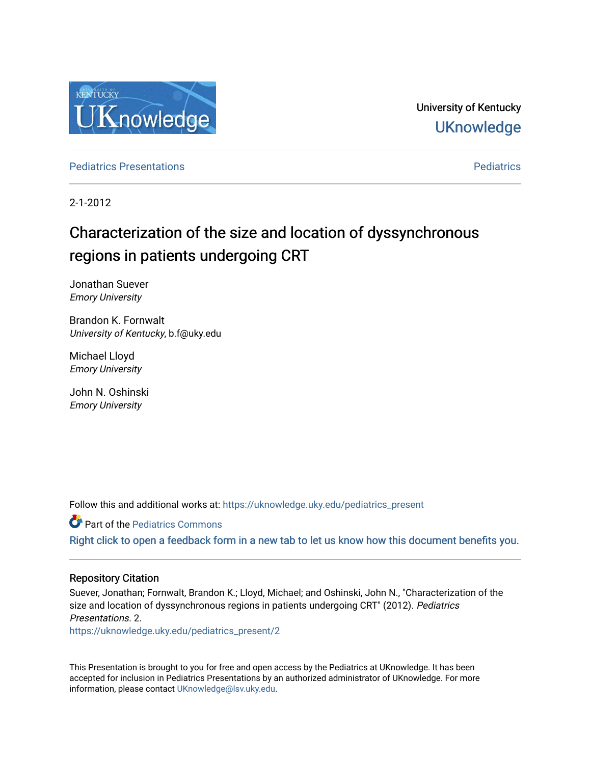

University of Kentucky **UKnowledge** 

**[Pediatrics](https://uknowledge.uky.edu/pediatrics) Presentations Pediatrics** Pediatrics **Presentations** 

2-1-2012

## Characterization of the size and location of dyssynchronous regions in patients undergoing CRT

Jonathan Suever Emory University

Brandon K. Fornwalt University of Kentucky, b.f@uky.edu

Michael Lloyd Emory University

John N. Oshinski Emory University

Follow this and additional works at: [https://uknowledge.uky.edu/pediatrics\\_present](https://uknowledge.uky.edu/pediatrics_present?utm_source=uknowledge.uky.edu%2Fpediatrics_present%2F2&utm_medium=PDF&utm_campaign=PDFCoverPages)

**Part of the [Pediatrics Commons](http://network.bepress.com/hgg/discipline/700?utm_source=uknowledge.uky.edu%2Fpediatrics_present%2F2&utm_medium=PDF&utm_campaign=PDFCoverPages)** 

[Right click to open a feedback form in a new tab to let us know how this document benefits you.](https://uky.az1.qualtrics.com/jfe/form/SV_9mq8fx2GnONRfz7)

#### Repository Citation

Suever, Jonathan; Fornwalt, Brandon K.; Lloyd, Michael; and Oshinski, John N., "Characterization of the size and location of dyssynchronous regions in patients undergoing CRT" (2012). Pediatrics Presentations. 2.

[https://uknowledge.uky.edu/pediatrics\\_present/2](https://uknowledge.uky.edu/pediatrics_present/2?utm_source=uknowledge.uky.edu%2Fpediatrics_present%2F2&utm_medium=PDF&utm_campaign=PDFCoverPages)

This Presentation is brought to you for free and open access by the Pediatrics at UKnowledge. It has been accepted for inclusion in Pediatrics Presentations by an authorized administrator of UKnowledge. For more information, please contact [UKnowledge@lsv.uky.edu](mailto:UKnowledge@lsv.uky.edu).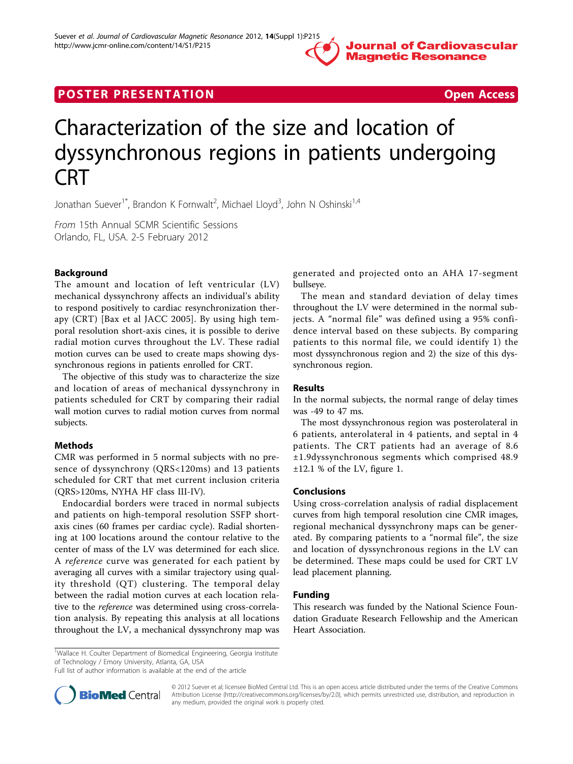

### **POSTER PRESENTATION CONSIDERATION CONSIDERATION**

# Characterization of the size and location of dyssynchronous regions in patients undergoing CRT

Jonathan Suever<sup>1\*</sup>, Brandon K Fornwalt<sup>2</sup>, Michael Lloyd<sup>3</sup>, John N Oshinski<sup>1,4</sup>

From 15th Annual SCMR Scientific Sessions Orlando, FL, USA. 2-5 February 2012

#### Background

The amount and location of left ventricular (LV) mechanical dyssynchrony affects an individual's ability to respond positively to cardiac resynchronization therapy (CRT) [Bax et al JACC 2005]. By using high temporal resolution short-axis cines, it is possible to derive radial motion curves throughout the LV. These radial motion curves can be used to create maps showing dyssynchronous regions in patients enrolled for CRT.

The objective of this study was to characterize the size and location of areas of mechanical dyssynchrony in patients scheduled for CRT by comparing their radial wall motion curves to radial motion curves from normal subjects.

#### Methods

CMR was performed in 5 normal subjects with no presence of dyssynchrony (QRS<120ms) and 13 patients scheduled for CRT that met current inclusion criteria (QRS>120ms, NYHA HF class III-IV).

Endocardial borders were traced in normal subjects and patients on high-temporal resolution SSFP shortaxis cines (60 frames per cardiac cycle). Radial shortening at 100 locations around the contour relative to the center of mass of the LV was determined for each slice. A reference curve was generated for each patient by averaging all curves with a similar trajectory using quality threshold (QT) clustering. The temporal delay between the radial motion curves at each location relative to the reference was determined using cross-correlation analysis. By repeating this analysis at all locations throughout the LV, a mechanical dyssynchrony map was

generated and projected onto an AHA 17-segment bullseye.

The mean and standard deviation of delay times throughout the LV were determined in the normal subjects. A "normal file" was defined using a 95% confidence interval based on these subjects. By comparing patients to this normal file, we could identify 1) the most dyssynchronous region and 2) the size of this dyssynchronous region.

#### Results

In the normal subjects, the normal range of delay times was -49 to 47 ms.

The most dyssynchronous region was posterolateral in 6 patients, anterolateral in 4 patients, and septal in 4 patients. The CRT patients had an average of 8.6 ±1.9dyssynchronous segments which comprised 48.9  $\pm 12.1$  % of the LV, figure [1.](#page-2-0)

#### Conclusions

Using cross-correlation analysis of radial displacement curves from high temporal resolution cine CMR images, regional mechanical dyssynchrony maps can be generated. By comparing patients to a "normal file", the size and location of dyssynchronous regions in the LV can be determined. These maps could be used for CRT LV lead placement planning.

#### Funding

This research was funded by the National Science Foundation Graduate Research Fellowship and the American Heart Association.

Full list of author information is available at the end of the article



© 2012 Suever et al; licensee BioMed Central Ltd. This is an open access article distributed under the terms of the Creative Commons Attribution License [\(http://creativecommons.org/licenses/by/2.0](http://creativecommons.org/licenses/by/2.0)), which permits unrestricted use, distribution, and reproduction in any medium, provided the original work is properly cited.

<sup>&</sup>lt;sup>1</sup>Wallace H. Coulter Department of Biomedical Engineering, Georgia Institute of Technology / Emory University, Atlanta, GA, USA